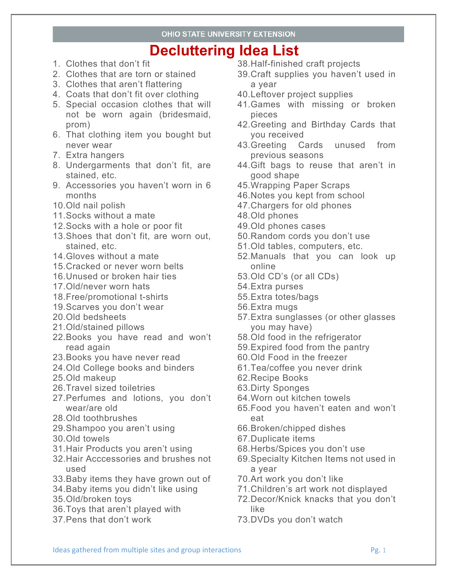- 1. Clothes that don't fit
- 2. Clothes that are torn or stained
- 3. Clothes that aren't flattering
- 4. Coats that don't fit over clothing
- 5. Special occasion clothes that will not be worn again (bridesmaid, prom)
- 6. That clothing item you bought but never wear
- 7. Extra hangers
- 8. Undergarments that don't fit, are stained, etc.
- 9. Accessories you haven't worn in 6 months
- 10.Old nail polish
- 11.Socks without a mate
- 12.Socks with a hole or poor fit
- 13.Shoes that don't fit, are worn out, stained, etc.
- 14.Gloves without a mate
- 15.Cracked or never worn belts
- 16.Unused or broken hair ties
- 17.Old/never worn hats
- 18.Free/promotional t-shirts
- 19.Scarves you don't wear
- 20.Old bedsheets
- 21.Old/stained pillows
- 22.Books you have read and won't read again
- 23.Books you have never read
- 24.Old College books and binders
- 25.Old makeup
- 26.Travel sized toiletries
- 27.Perfumes and lotions, you don't wear/are old
- 28.Old toothbrushes
- 29.Shampoo you aren't using
- 30.Old towels
- 31.Hair Products you aren't using
- 32.Hair Acccessories and brushes not used
- 33.Baby items they have grown out of
- 34.Baby items you didn't like using
- 35.Old/broken toys
- 36.Toys that aren't played with
- 37.Pens that don't work
- 38.Half-finished craft projects
- 39.Craft supplies you haven't used in a year
- 40.Leftover project supplies
- 41.Games with missing or broken pieces
- 42.Greeting and Birthday Cards that you received
- 43.Greeting Cards unused from previous seasons
- 44.Gift bags to reuse that aren't in good shape
- 45.Wrapping Paper Scraps
- 46.Notes you kept from school
- 47.Chargers for old phones
- 48.Old phones
- 49.Old phones cases
- 50.Random cords you don't use
- 51.Old tables, computers, etc.
- 52.Manuals that you can look up online
- 53.Old CD's (or all CDs)
- 54.Extra purses
- 55.Extra totes/bags
- 56.Extra mugs
- 57.Extra sunglasses (or other glasses you may have)
- 58.Old food in the refrigerator
- 59.Expired food from the pantry
- 60.Old Food in the freezer
- 61.Tea/coffee you never drink
- 62.Recipe Books
- 63.Dirty Sponges
- 64.Worn out kitchen towels
- 65.Food you haven't eaten and won't eat
- 66.Broken/chipped dishes
- 67.Duplicate items
- 68.Herbs/Spices you don't use
- 69.Specialty Kitchen Items not used in a year
- 70.Art work you don't like
- 71.Children's art work not displayed
- 72.Decor/Knick knacks that you don't like
- 73.DVDs you don't watch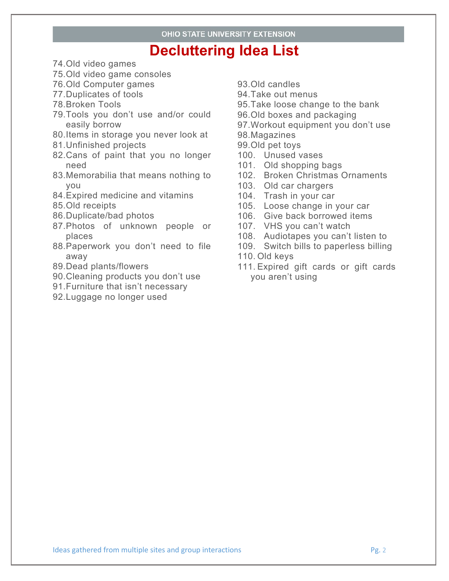- 74.Old video games
- 75.Old video game consoles
- 76.Old Computer games
- 77.Duplicates of tools
- 78.Broken Tools
- 79.Tools you don't use and/or could easily borrow
- 80.Items in storage you never look at
- 81.Unfinished projects
- 82.Cans of paint that you no longer need
- 83.Memorabilia that means nothing to you
- 84.Expired medicine and vitamins
- 85.Old receipts
- 86.Duplicate/bad photos
- 87.Photos of unknown people or places
- 88.Paperwork you don't need to file away
- 89.Dead plants/flowers
- 90.Cleaning products you don't use
- 91.Furniture that isn't necessary
- 92.Luggage no longer used
- 93.Old candles
- 94.Take out menus
- 95.Take loose change to the bank
- 96.Old boxes and packaging
- 97.Workout equipment you don't use
- 98.Magazines
- 99.Old pet toys
- 100. Unused vases
- 101. Old shopping bags
- 102. Broken Christmas Ornaments
- 103. Old car chargers
- 104. Trash in your car
- 105. Loose change in your car
- 106. Give back borrowed items
- 107. VHS you can't watch
- 108. Audiotapes you can't listen to
- 109. Switch bills to paperless billing
- 110. Old keys
- 111. Expired gift cards or gift cards you aren't using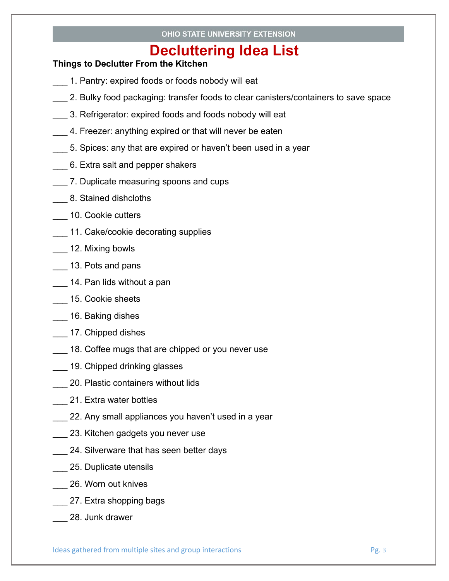### **Things to Declutter From the Kitchen**

- 1. Pantry: expired foods or foods nobody will eat
- 2. Bulky food packaging: transfer foods to clear canisters/containers to save space
- 3. Refrigerator: expired foods and foods nobody will eat
- 4. Freezer: anything expired or that will never be eaten
- 5. Spices: any that are expired or haven't been used in a year
- \_\_\_ 6. Extra salt and pepper shakers
- \_\_\_ 7. Duplicate measuring spoons and cups
- \_\_\_ 8. Stained dishcloths
- \_\_\_ 10. Cookie cutters
- \_\_\_ 11. Cake/cookie decorating supplies
- \_\_\_ 12. Mixing bowls
- \_\_\_ 13. Pots and pans
- \_\_\_ 14. Pan lids without a pan
- \_\_\_ 15. Cookie sheets
- \_\_\_ 16. Baking dishes
- \_\_\_ 17. Chipped dishes
- 18. Coffee mugs that are chipped or you never use
- **\_\_\_ 19. Chipped drinking glasses**
- **\_\_\_ 20. Plastic containers without lids**
- \_\_\_ 21. Extra water bottles
- \_\_\_ 22. Any small appliances you haven't used in a year
- \_\_\_ 23. Kitchen gadgets you never use
- **24. Silverware that has seen better days**
- \_\_\_ 25. Duplicate utensils
- \_\_ 26. Worn out knives
- \_\_\_ 27. Extra shopping bags
- \_\_\_ 28. Junk drawer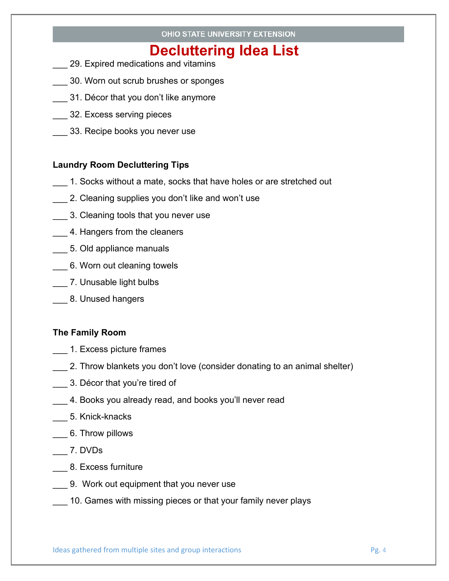- \_\_\_ 29. Expired medications and vitamins
- \_\_\_ 30. Worn out scrub brushes or sponges
- 31. Décor that you don't like anymore
- \_\_\_ 32. Excess serving pieces
- 33. Recipe books you never use

### **Laundry Room Decluttering Tips**

- 1. Socks without a mate, socks that have holes or are stretched out
- \_\_\_ 2. Cleaning supplies you don't like and won't use
- \_\_\_ 3. Cleaning tools that you never use
- 4. Hangers from the cleaners
- **\_\_\_ 5. Old appliance manuals**
- \_\_\_ 6. Worn out cleaning towels
- \_\_\_ 7. Unusable light bulbs
- \_\_\_ 8. Unused hangers

#### **The Family Room**

- \_\_\_ 1. Excess picture frames
- \_\_\_ 2. Throw blankets you don't love (consider donating to an animal shelter)
- \_\_\_\_ 3. Décor that you're tired of
- 4. Books you already read, and books you'll never read
- \_\_\_ 5. Knick-knacks
- \_\_\_ 6. Throw pillows
- \_\_\_ 7. DVDs
- \_\_\_ 8. Excess furniture
- \_\_\_ 9. Work out equipment that you never use
- 10. Games with missing pieces or that your family never plays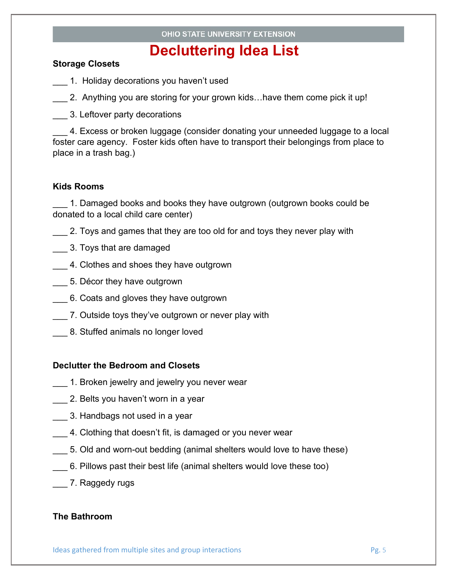#### **Storage Closets**

- \_\_\_ 1. Holiday decorations you haven't used
- 2. Anything you are storing for your grown kids…have them come pick it up!
- \_\_\_ 3. Leftover party decorations

4. Excess or broken luggage (consider donating your unneeded luggage to a local foster care agency. Foster kids often have to transport their belongings from place to place in a trash bag.)

#### **Kids Rooms**

1. Damaged books and books they have outgrown (outgrown books could be donated to a local child care center)

- \_\_\_ 2. Toys and games that they are too old for and toys they never play with
- \_\_\_ 3. Toys that are damaged
- \_\_\_ 4. Clothes and shoes they have outgrown
- \_\_\_ 5. Décor they have outgrown
- \_\_\_ 6. Coats and gloves they have outgrown
- 7. Outside toys they've outgrown or never play with
- \_\_\_ 8. Stuffed animals no longer loved

#### **Declutter the Bedroom and Closets**

- 1. Broken jewelry and jewelry you never wear
- \_\_\_ 2. Belts you haven't worn in a year
- \_\_\_ 3. Handbags not used in a year
- 4. Clothing that doesn't fit, is damaged or you never wear
- \_\_\_ 5. Old and worn-out bedding (animal shelters would love to have these)
- \_\_\_ 6. Pillows past their best life (animal shelters would love these too)
- \_\_\_ 7. Raggedy rugs

#### **The Bathroom**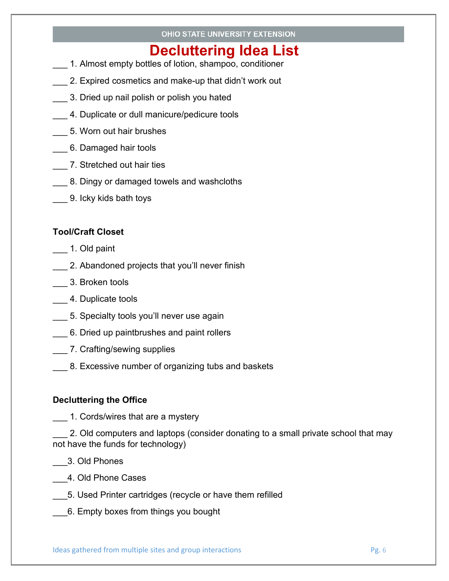### OHIO STATE UNIVERSITY EXTENSION

# **Decluttering Idea List**

- \_\_\_ 1. Almost empty bottles of lotion, shampoo, conditioner
- 2. Expired cosmetics and make-up that didn't work out
- \_\_\_ 3. Dried up nail polish or polish you hated
- \_\_\_ 4. Duplicate or dull manicure/pedicure tools
- \_\_\_ 5. Worn out hair brushes
- \_\_\_ 6. Damaged hair tools
- **1. Stretched out hair ties**
- 8. Dingy or damaged towels and washcloths
- \_\_\_ 9. Icky kids bath toys

### **Tool/Craft Closet**

- \_\_\_ 1. Old paint
- **2.** Abandoned projects that you'll never finish
- \_\_\_ 3. Broken tools
- \_\_\_ 4. Duplicate tools
- \_\_\_ 5. Specialty tools you'll never use again
- 6. Dried up paintbrushes and paint rollers
- \_\_\_ 7. Crafting/sewing supplies
- 8. Excessive number of organizing tubs and baskets

### **Decluttering the Office**

\_\_\_ 1. Cords/wires that are a mystery

2. Old computers and laptops (consider donating to a small private school that may not have the funds for technology)

- \_\_\_3. Old Phones
- \_\_\_4. Old Phone Cases
- \_\_\_5. Used Printer cartridges (recycle or have them refilled
- \_\_\_6. Empty boxes from things you bought